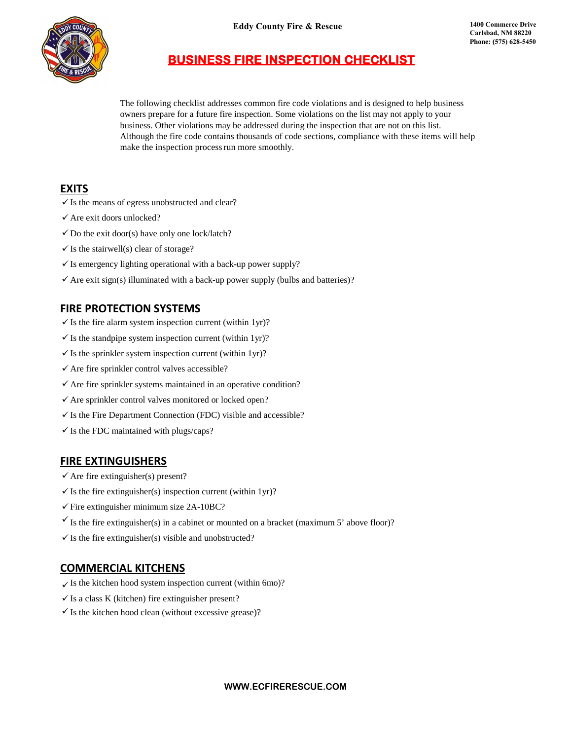

**Eddy County Fire & Rescue 1400 Commerce Drive**

# **BUSINESS FIRE INSPECTION CHECKLIST**

The following checklist addresses common fire code violations and is designed to help business owners prepare for a future fire inspection. Some violations on the list may not apply to your business. Other violations may be addressed during the inspection that are not on this list. Although the fire code contains thousands of code sections, compliance with these items will help make the inspection process run more smoothly.

# **EXITS**

- $\checkmark$  Is the means of egress unobstructed and clear?
- $\checkmark$  Are exit doors unlocked?
- $\checkmark$  Do the exit door(s) have only one lock/latch?
- $\checkmark$  Is the stairwell(s) clear of storage?
- $\checkmark$  Is emergency lighting operational with a back-up power supply?
- $\checkmark$  Are exit sign(s) illuminated with a back-up power supply (bulbs and batteries)?

# **FIRE PROTECTION SYSTEMS**

- $\checkmark$  Is the fire alarm system inspection current (within 1yr)?
- $\checkmark$  Is the standpipe system inspection current (within 1yr)?
- $\checkmark$  Is the sprinkler system inspection current (within 1yr)?
- $\checkmark$  Are fire sprinkler control valves accessible?
- $\checkmark$  Are fire sprinkler systems maintained in an operative condition?
- $\checkmark$  Are sprinkler control valves monitored or locked open?
- $\checkmark$  Is the Fire Department Connection (FDC) visible and accessible?
- $\checkmark$  Is the FDC maintained with plugs/caps?

### **FIRE EXTINGUISHERS**

- $\checkmark$  Are fire extinguisher(s) present?
- $\checkmark$  Is the fire extinguisher(s) inspection current (within 1yr)?
- $\checkmark$  Fire extinguisher minimum size 2A-10BC?
- Is the fire extinguisher(s) in a cabinet or mounted on a bracket (maximum 5' above floor)?
- $\checkmark$  Is the fire extinguisher(s) visible and unobstructed?

# **COMMERCIAL KITCHENS**

- $\checkmark$  Is the kitchen hood system inspection current (within 6mo)?
- $\checkmark$  Is a class K (kitchen) fire extinguisher present?
- $\checkmark$  Is the kitchen hood clean (without excessive grease)?